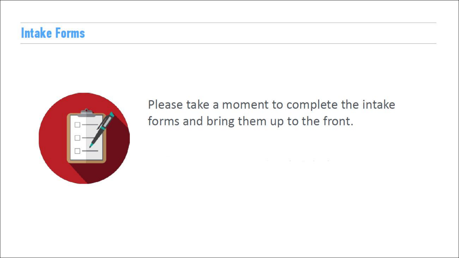#### **Intake Forms**



Please take a moment to complete the intake forms and bring them up to the front.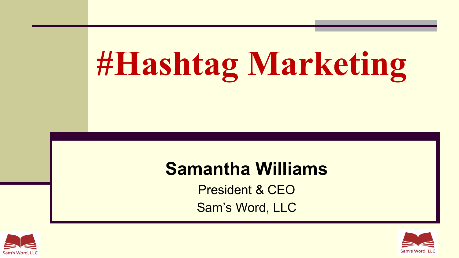# **#Hashtag Marketing**

#### **Samantha Williams**

President & CEO Sam's Word, LLC



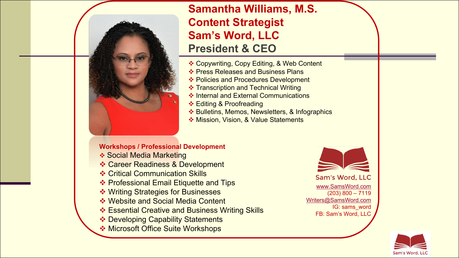

#### **Samantha Williams, M.S. Content Strategist Sam's Word, LLC President & CEO**

- ❖ Copywriting, Copy Editing, & Web Content
- ❖ Press Releases and Business Plans
- ❖ Policies and Procedures Development
- **❖ Transcription and Technical Writing**
- v Internal and External Communications
- ❖ Editing & Proofreading
- ❖ Bulletins, Memos, Newsletters, & Infographics
- ◆ Mission, Vision, & Value Statements

#### **Workshops / Professional Development**

- **❖ Social Media Marketing**
- ❖ Career Readiness & Development
- **❖ Critical Communication Skills**
- **❖ Professional Email Etiquette and Tips**
- **❖ Writing Strategies for Businesses**
- ❖ Website and Social Media Content
- ❖ Essential Creative and Business Writing Skills
- ❖ Developing Capability Statements
- **EXA Microsoft Office Suite Workshops**

Sam's Word, LLC www.SamsWord.com (203) 800 – 7119 Writers@SamsWord.com

IG: sams\_word FB: Sam's Word, LLC

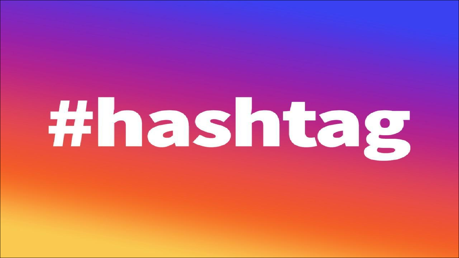# #hashtag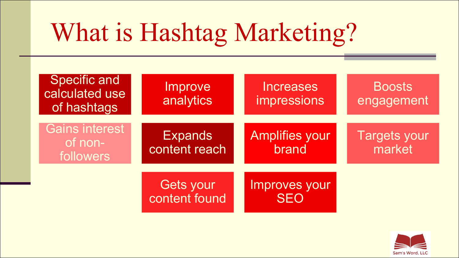# What is Hashtag Marketing?



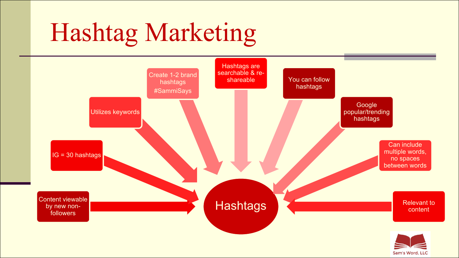# Hashtag Marketing

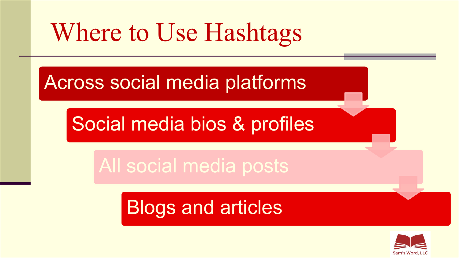# Where to Use Hashtags

### Across social media platforms

### Social media bios & profiles

## All social media posts

## Blogs and articles